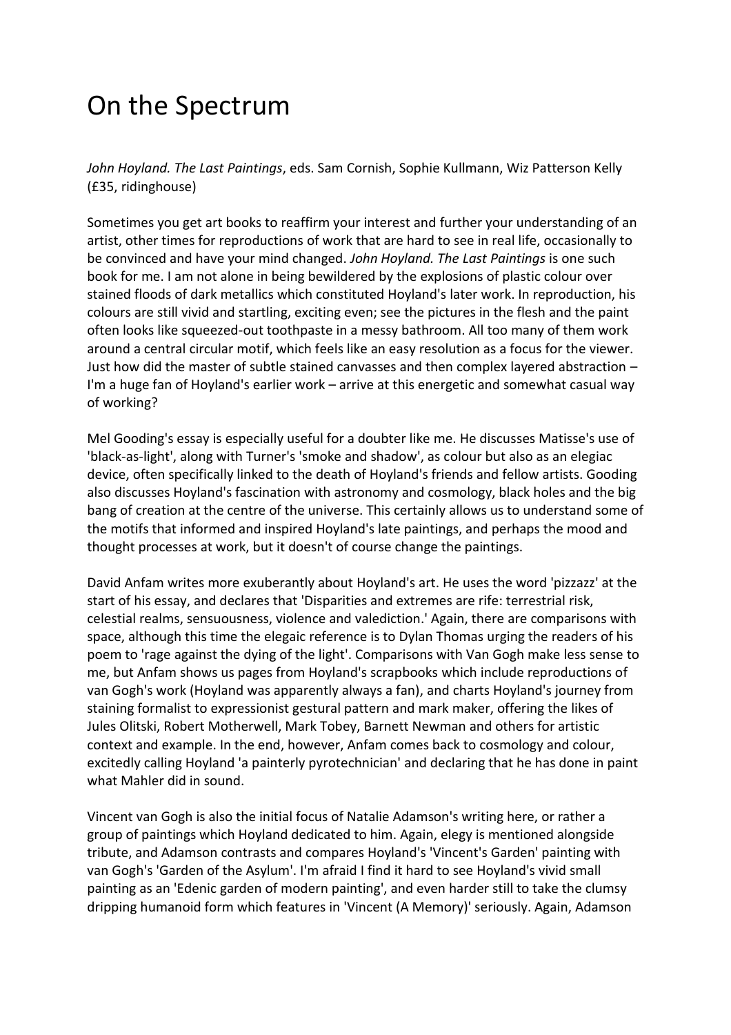## On the Spectrum

*John Hoyland. The Last Paintings*, eds. Sam Cornish, Sophie Kullmann, Wiz Patterson Kelly (£35, ridinghouse)

Sometimes you get art books to reaffirm your interest and further your understanding of an artist, other times for reproductions of work that are hard to see in real life, occasionally to be convinced and have your mind changed. *John Hoyland. The Last Paintings* is one such book for me. I am not alone in being bewildered by the explosions of plastic colour over stained floods of dark metallics which constituted Hoyland's later work. In reproduction, his colours are still vivid and startling, exciting even; see the pictures in the flesh and the paint often looks like squeezed-out toothpaste in a messy bathroom. All too many of them work around a central circular motif, which feels like an easy resolution as a focus for the viewer. Just how did the master of subtle stained canvasses and then complex layered abstraction – I'm a huge fan of Hoyland's earlier work – arrive at this energetic and somewhat casual way of working?

Mel Gooding's essay is especially useful for a doubter like me. He discusses Matisse's use of 'black-as-light', along with Turner's 'smoke and shadow', as colour but also as an elegiac device, often specifically linked to the death of Hoyland's friends and fellow artists. Gooding also discusses Hoyland's fascination with astronomy and cosmology, black holes and the big bang of creation at the centre of the universe. This certainly allows us to understand some of the motifs that informed and inspired Hoyland's late paintings, and perhaps the mood and thought processes at work, but it doesn't of course change the paintings.

David Anfam writes more exuberantly about Hoyland's art. He uses the word 'pizzazz' at the start of his essay, and declares that 'Disparities and extremes are rife: terrestrial risk, celestial realms, sensuousness, violence and valediction.' Again, there are comparisons with space, although this time the elegaic reference is to Dylan Thomas urging the readers of his poem to 'rage against the dying of the light'. Comparisons with Van Gogh make less sense to me, but Anfam shows us pages from Hoyland's scrapbooks which include reproductions of van Gogh's work (Hoyland was apparently always a fan), and charts Hoyland's journey from staining formalist to expressionist gestural pattern and mark maker, offering the likes of Jules Olitski, Robert Motherwell, Mark Tobey, Barnett Newman and others for artistic context and example. In the end, however, Anfam comes back to cosmology and colour, excitedly calling Hoyland 'a painterly pyrotechnician' and declaring that he has done in paint what Mahler did in sound.

Vincent van Gogh is also the initial focus of Natalie Adamson's writing here, or rather a group of paintings which Hoyland dedicated to him. Again, elegy is mentioned alongside tribute, and Adamson contrasts and compares Hoyland's 'Vincent's Garden' painting with van Gogh's 'Garden of the Asylum'. I'm afraid I find it hard to see Hoyland's vivid small painting as an 'Edenic garden of modern painting', and even harder still to take the clumsy dripping humanoid form which features in 'Vincent (A Memory)' seriously. Again, Adamson